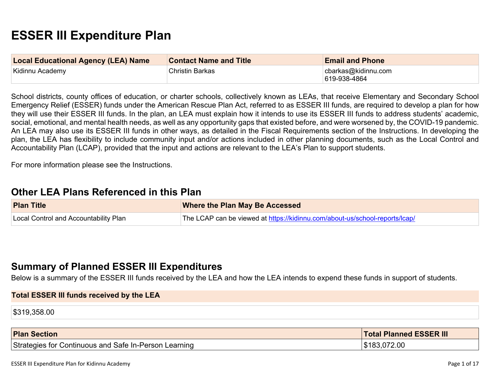# **ESSER III Expenditure Plan**

| <b>Local Educational Agency (LEA) Name</b> | <b>Contact Name and Title</b> | <b>Email and Phone</b>               |
|--------------------------------------------|-------------------------------|--------------------------------------|
| Kidinnu Academy                            | Christin Barkas               | cbarkas@kidinnu.com<br> 619-938-4864 |

School districts, county offices of education, or charter schools, collectively known as LEAs, that receive Elementary and Secondary School Emergency Relief (ESSER) funds under the American Rescue Plan Act, referred to as ESSER III funds, are required to develop a plan for how they will use their ESSER III funds. In the plan, an LEA must explain how it intends to use its ESSER III funds to address students' academic, social, emotional, and mental health needs, as well as any opportunity gaps that existed before, and were worsened by, the COVID-19 pandemic. An LEA may also use its ESSER III funds in other ways, as detailed in the Fiscal Requirements section of the Instructions. In developing the plan, the LEA has flexibility to include community input and/or actions included in other planning documents, such as the Local Control and Accountability Plan (LCAP), provided that the input and actions are relevant to the LEA's Plan to support students.

For more information please see the Instructions.

## **Other LEA Plans [Referenced](#page-11-0) in this Plan**

| <b>Plan Title</b>                     | <b>Where the Plan May Be Accessed</b>                                       |
|---------------------------------------|-----------------------------------------------------------------------------|
| Local Control and Accountability Plan | The LCAP can be viewed at https://kidinnu.com/about-us/school-reports/lcap/ |

## **Summary of Planned ESSER III [Expenditures](#page-11-1)**

Below is a summary of the ESSER III funds received by the LEA and how the LEA intends to expend these funds in support of students.

| <b>Total ESSER III funds received by the LEA</b> |  |  |  |
|--------------------------------------------------|--|--|--|
| \$319,358.00                                     |  |  |  |

| <b>Plan Section</b>                                        | <b>Total Planned ESSER III</b> |
|------------------------------------------------------------|--------------------------------|
| Strategies for Continuous and Safe In-Person I<br>Learning | 183,072.00                     |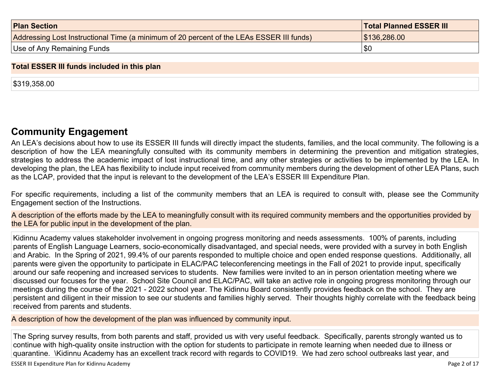| <b>Plan Section</b>                                                                      | <b>Total Planned ESSER III</b> |
|------------------------------------------------------------------------------------------|--------------------------------|
| Addressing Lost Instructional Time (a minimum of 20 percent of the LEAs ESSER III funds) | \$136,286.00                   |
| Use of Any Remaining Funds                                                               | !\$C                           |

#### **Total ESSER III funds included in this plan**

\$319,358.00

## **Community [Engagement](#page-12-0)**

An LEA's decisions about how to use its ESSER III funds will directly impact the students, families, and the local community. The following is a description of how the LEA meaningfully consulted with its community members in determining the prevention and mitigation strategies, strategies to address the academic impact of lost instructional time, and any other strategies or activities to be implemented by the LEA. In developing the plan, the LEA has flexibility to include input received from community members during the development of other LEA Plans, such as the LCAP, provided that the input is relevant to the development of the LEA's ESSER III Expenditure Plan.

For specific requirements, including a list of the community members that an LEA is required to consult with, please see the Community Engagement section of the Instructions.

A description of the efforts made by the LEA to meaningfully consult with its required community members and the opportunities provided by the LEA for public input in the development of the plan.

Kidinnu Academy values stakeholder involvement in ongoing progress monitoring and needs assessments. 100% of parents, including parents of English Language Learners, socio-economically disadvantaged, and special needs, were provided with a survey in both English and Arabic. In the Spring of 2021, 99.4% of our parents responded to multiple choice and open ended response questions. Additionally, all parents were given the opportunity to participate in ELAC/PAC teleconferencing meetings in the Fall of 2021 to provide input, specifically around our safe reopening and increased services to students. New families were invited to an in person orientation meeting where we discussed our focuses for the year. School Site Council and ELAC/PAC, will take an active role in ongoing progress monitoring through our meetings during the course of the 2021 - 2022 school year. The Kidinnu Board consistently provides feedback on the school. They are persistent and diligent in their mission to see our students and families highly served. Their thoughts highly correlate with the feedback being received from parents and students.

A description of how the development of the plan was influenced by community input.

The Spring survey results, from both parents and staff, provided us with very useful feedback. Specifically, parents strongly wanted us to continue with high-quality onsite instruction with the option for students to participate in remote learning when needed due to illness or quarantine. \Kidinnu Academy has an excellent track record with regards to COVID19. We had zero school outbreaks last year, and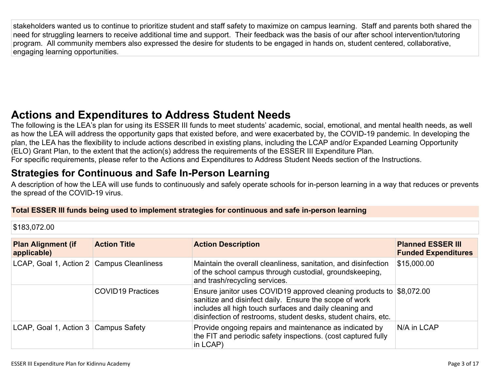stakeholders wanted us to continue to prioritize student and staff safety to maximize on campus learning. Staff and parents both shared the need for struggling learners to receive additional time and support. Their feedback was the basis of our after school intervention/tutoring program. All community members also expressed the desire for students to be engaged in hands on, student centered, collaborative, engaging learning opportunities.

# **Actions and [Expenditures](#page-14-0) to Address Student Needs**

The following is the LEA's plan for using its ESSER III funds to meet students' academic, social, emotional, and mental health needs, as well as how the LEA will address the opportunity gaps that existed before, and were exacerbated by, the COVID-19 pandemic. In developing the plan, the LEA has the flexibility to include actions described in existing plans, including the LCAP and/or Expanded Learning Opportunity (ELO) Grant Plan, to the extent that the action(s) address the requirements of the ESSER III Expenditure Plan. For specific requirements, please refer to the Actions and Expenditures to Address Student Needs section of the Instructions.

# **Strategies for [Continuous](#page-14-1) and Safe In-Person Learning**

A description of how the LEA will use funds to continuously and safely operate schools for in-person learning in a way that reduces or prevents the spread of the COVID-19 virus.

### **Total ESSER III funds being used to implement strategies for continuous and safe in-person learning**

### \$183,072.00

| <b>Plan Alignment (if</b><br>applicable)  | <b>Action Title</b>      | <b>Action Description</b>                                                                                                                                                                                                                                   | <b>Planned ESSER III</b><br><b>Funded Expenditures</b> |
|-------------------------------------------|--------------------------|-------------------------------------------------------------------------------------------------------------------------------------------------------------------------------------------------------------------------------------------------------------|--------------------------------------------------------|
| LCAP, Goal 1, Action 2 Campus Cleanliness |                          | Maintain the overall cleanliness, sanitation, and disinfection<br>of the school campus through custodial, groundskeeping,<br>and trash/recycling services.                                                                                                  | \$15,000.00                                            |
|                                           | <b>COVID19 Practices</b> | Ensure janitor uses COVID19 approved cleaning products to \$8,072.00<br>sanitize and disinfect daily. Ensure the scope of work<br>includes all high touch surfaces and daily cleaning and<br>disinfection of restrooms, student desks, student chairs, etc. |                                                        |
| LCAP, Goal 1, Action 3 Campus Safety      |                          | Provide ongoing repairs and maintenance as indicated by<br>the FIT and periodic safety inspections. (cost captured fully<br>in LCAP)                                                                                                                        | N/A in LCAP                                            |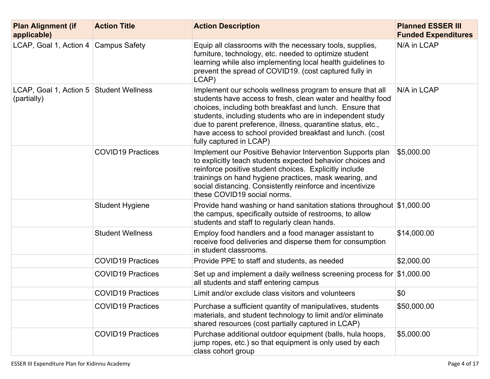| <b>Plan Alignment (if</b><br>applicable)               | <b>Action Title</b>      | <b>Action Description</b>                                                                                                                                                                                                                                                                                                                                                                                | <b>Planned ESSER III</b><br><b>Funded Expenditures</b> |
|--------------------------------------------------------|--------------------------|----------------------------------------------------------------------------------------------------------------------------------------------------------------------------------------------------------------------------------------------------------------------------------------------------------------------------------------------------------------------------------------------------------|--------------------------------------------------------|
| LCAP, Goal 1, Action 4 $\vert$ Campus Safety           |                          | Equip all classrooms with the necessary tools, supplies,<br>furniture, technology, etc. needed to optimize student<br>learning while also implementing local health guidelines to<br>prevent the spread of COVID19. (cost captured fully in<br>LCAP)                                                                                                                                                     | N/A in LCAP                                            |
| LCAP, Goal 1, Action 5 Student Wellness<br>(partially) |                          | Implement our schools wellness program to ensure that all<br>students have access to fresh, clean water and healthy food<br>choices, including both breakfast and lunch. Ensure that<br>students, including students who are in independent study<br>due to parent preference, illness, quarantine status, etc.,<br>have access to school provided breakfast and lunch. (cost<br>fully captured in LCAP) | N/A in LCAP                                            |
|                                                        | <b>COVID19 Practices</b> | Implement our Positive Behavior Intervention Supports plan<br>to explicitly teach students expected behavior choices and<br>reinforce positive student choices. Explicitly include<br>trainings on hand hygiene practices, mask wearing, and<br>social distancing. Consistently reinforce and incentivize<br>these COVID19 social norms.                                                                 | \$5,000.00                                             |
|                                                        | <b>Student Hygiene</b>   | Provide hand washing or hand sanitation stations throughout \$1,000.00<br>the campus, specifically outside of restrooms, to allow<br>students and staff to regularly clean hands.                                                                                                                                                                                                                        |                                                        |
|                                                        | <b>Student Wellness</b>  | Employ food handlers and a food manager assistant to<br>receive food deliveries and disperse them for consumption<br>in student classrooms.                                                                                                                                                                                                                                                              | \$14,000.00                                            |
|                                                        | <b>COVID19 Practices</b> | Provide PPE to staff and students, as needed                                                                                                                                                                                                                                                                                                                                                             | \$2,000.00                                             |
|                                                        | <b>COVID19 Practices</b> | Set up and implement a daily wellness screening process for $$1,000.00$<br>all students and staff entering campus                                                                                                                                                                                                                                                                                        |                                                        |
|                                                        | <b>COVID19 Practices</b> | Limit and/or exclude class visitors and volunteers                                                                                                                                                                                                                                                                                                                                                       | \$0                                                    |
|                                                        | <b>COVID19 Practices</b> | Purchase a sufficient quantity of manipulatives, students<br>materials, and student technology to limit and/or eliminate<br>shared resources (cost partially captured in LCAP)                                                                                                                                                                                                                           | \$50,000.00                                            |
|                                                        | <b>COVID19 Practices</b> | Purchase additional outdoor equipment (balls, hula hoops,<br>jump ropes, etc.) so that equipment is only used by each<br>class cohort group                                                                                                                                                                                                                                                              | \$5,000.00                                             |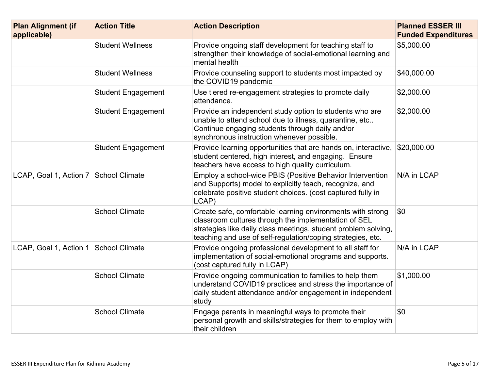| <b>Plan Alignment (if</b><br>applicable) | <b>Action Title</b>       | <b>Action Description</b>                                                                                                                                                                                                                           | <b>Planned ESSER III</b><br><b>Funded Expenditures</b> |
|------------------------------------------|---------------------------|-----------------------------------------------------------------------------------------------------------------------------------------------------------------------------------------------------------------------------------------------------|--------------------------------------------------------|
|                                          | <b>Student Wellness</b>   | Provide ongoing staff development for teaching staff to<br>strengthen their knowledge of social-emotional learning and<br>mental health                                                                                                             | \$5,000.00                                             |
|                                          | <b>Student Wellness</b>   | Provide counseling support to students most impacted by<br>the COVID19 pandemic                                                                                                                                                                     | \$40,000.00                                            |
|                                          | <b>Student Engagement</b> | Use tiered re-engagement strategies to promote daily<br>attendance.                                                                                                                                                                                 | \$2,000.00                                             |
|                                          | <b>Student Engagement</b> | Provide an independent study option to students who are<br>unable to attend school due to illness, quarantine, etc<br>Continue engaging students through daily and/or<br>synchronous instruction whenever possible.                                 | \$2,000.00                                             |
|                                          | <b>Student Engagement</b> | Provide learning opportunities that are hands on, interactive,<br>student centered, high interest, and engaging. Ensure<br>teachers have access to high quality curriculum.                                                                         | \$20,000.00                                            |
| LCAP, Goal 1, Action 7   School Climate  |                           | Employ a school-wide PBIS (Positive Behavior Intervention<br>and Supports) model to explicitly teach, recognize, and<br>celebrate positive student choices. (cost captured fully in<br>LCAP)                                                        | N/A in LCAP                                            |
|                                          | <b>School Climate</b>     | Create safe, comfortable learning environments with strong<br>classroom cultures through the implementation of SEL<br>strategies like daily class meetings, student problem solving,<br>teaching and use of self-regulation/coping strategies, etc. | \$0                                                    |
| LCAP, Goal 1, Action 1                   | School Climate            | Provide ongoing professional development to all staff for<br>implementation of social-emotional programs and supports.<br>(cost captured fully in LCAP)                                                                                             | N/A in LCAP                                            |
|                                          | <b>School Climate</b>     | Provide ongoing communication to families to help them<br>understand COVID19 practices and stress the importance of<br>daily student attendance and/or engagement in independent<br>study                                                           | \$1,000.00                                             |
|                                          | <b>School Climate</b>     | Engage parents in meaningful ways to promote their<br>personal growth and skills/strategies for them to employ with<br>their children                                                                                                               | \$0                                                    |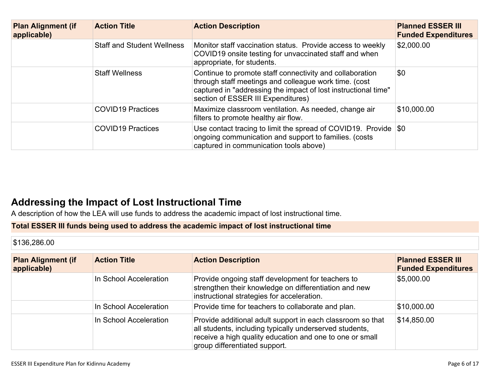| <b>Plan Alignment (if</b><br>applicable) | <b>Action Title</b>               | <b>Action Description</b>                                                                                                                                                                                                 | <b>Planned ESSER III</b><br><b>Funded Expenditures</b> |
|------------------------------------------|-----------------------------------|---------------------------------------------------------------------------------------------------------------------------------------------------------------------------------------------------------------------------|--------------------------------------------------------|
|                                          | <b>Staff and Student Wellness</b> | Monitor staff vaccination status. Provide access to weekly<br>COVID19 onsite testing for unvaccinated staff and when<br>appropriate, for students.                                                                        | \$2,000.00                                             |
|                                          | <b>Staff Wellness</b>             | Continue to promote staff connectivity and collaboration<br>through staff meetings and colleague work time. (cost<br>captured in "addressing the impact of lost instructional time"<br>section of ESSER III Expenditures) | \$0                                                    |
|                                          | <b>COVID19 Practices</b>          | Maximize classroom ventilation. As needed, change air<br>filters to promote healthy air flow.                                                                                                                             | \$10,000.00                                            |
|                                          | <b>COVID19 Practices</b>          | Use contact tracing to limit the spread of COVID19. Provide $\$\circ$<br>ongoing communication and support to families. (costs<br>captured in communication tools above)                                                  |                                                        |

## **Addressing the Impact of Lost [Instructional](#page-15-0) Tim[e](#page-15-0)**

A description of how the LEA will use funds to address the academic impact of lost instructional time.

### **Total ESSER III funds being used to address the academic impact of lost instructional time**

\$136,286.00

| <b>Plan Alignment (if</b><br>applicable) | <b>Action Title</b>    | <b>Action Description</b>                                                                                                                                                                                          | <b>Planned ESSER III</b><br><b>Funded Expenditures</b> |
|------------------------------------------|------------------------|--------------------------------------------------------------------------------------------------------------------------------------------------------------------------------------------------------------------|--------------------------------------------------------|
|                                          | In School Acceleration | Provide ongoing staff development for teachers to<br>strengthen their knowledge on differentiation and new<br>instructional strategies for acceleration.                                                           | \$5,000.00                                             |
|                                          | In School Acceleration | Provide time for teachers to collaborate and plan.                                                                                                                                                                 | \$10,000.00                                            |
|                                          | In School Acceleration | Provide additional adult support in each classroom so that<br>all students, including typically underserved students,<br>receive a high quality education and one to one or small<br>group differentiated support. | \$14,850.00                                            |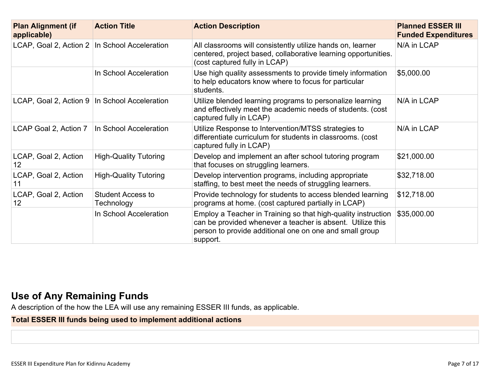| <b>Plan Alignment (if</b><br>applicable)        | <b>Action Title</b>                    | <b>Action Description</b>                                                                                                                                                                          | <b>Planned ESSER III</b><br><b>Funded Expenditures</b> |
|-------------------------------------------------|----------------------------------------|----------------------------------------------------------------------------------------------------------------------------------------------------------------------------------------------------|--------------------------------------------------------|
| LCAP, Goal 2, Action 2 In School Acceleration   |                                        | All classrooms will consistently utilize hands on, learner<br>centered, project based, collaborative learning opportunities.<br>(cost captured fully in LCAP)                                      | N/A in LCAP                                            |
|                                                 | In School Acceleration                 | Use high quality assessments to provide timely information<br>to help educators know where to focus for particular<br>students.                                                                    | \$5,000.00                                             |
| LCAP, Goal 2, Action 9   In School Acceleration |                                        | Utilize blended learning programs to personalize learning<br>and effectively meet the academic needs of students. (cost<br>captured fully in LCAP)                                                 | N/A in LCAP                                            |
| LCAP Goal 2, Action 7                           | In School Acceleration                 | Utilize Response to Intervention/MTSS strategies to<br>differentiate curriculum for students in classrooms. (cost<br>captured fully in LCAP)                                                       | N/A in LCAP                                            |
| LCAP, Goal 2, Action<br>$12 \overline{ }$       | <b>High-Quality Tutoring</b>           | Develop and implement an after school tutoring program<br>that focuses on struggling learners.                                                                                                     | \$21,000.00                                            |
| LCAP, Goal 2, Action<br>11                      | <b>High-Quality Tutoring</b>           | Develop intervention programs, including appropriate<br>staffing, to best meet the needs of struggling learners.                                                                                   | \$32,718.00                                            |
| LCAP, Goal 2, Action<br>12                      | <b>Student Access to</b><br>Technology | Provide technology for students to access blended learning<br>programs at home. (cost captured partially in LCAP)                                                                                  | \$12,718.00                                            |
|                                                 | In School Acceleration                 | Employ a Teacher in Training so that high-quality instruction<br>can be provided whenever a teacher is absent. Utilize this<br>person to provide additional one on one and small group<br>support. | \$35,000.00                                            |

# **Use of Any [Remaining](#page-15-1) Fund[s](#page-15-1)**

A description of the how the LEA will use any remaining ESSER III funds, as applicable.

## **Total ESSER III funds being used to implement additional actions**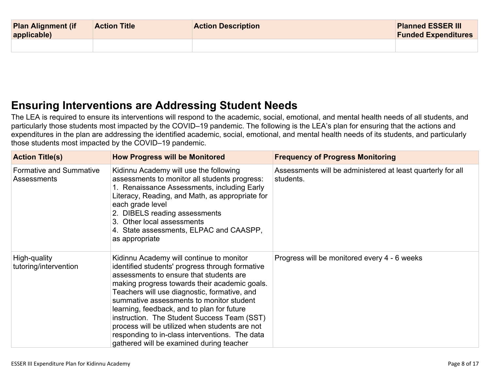| <b>Plan Alignment (if</b><br>applicable) | <b>Action Title</b> | <b>Action Description</b> | <b>Planned ESSER III</b><br><b>Funded Expenditures</b> |
|------------------------------------------|---------------------|---------------------------|--------------------------------------------------------|
|                                          |                     |                           |                                                        |

# **Ensuring [Interventions](#page-15-2) are Addressing Student Need[s](#page-15-2)**

The LEA is required to ensure its interventions will respond to the academic, social, emotional, and mental health needs of all students, and particularly those students most impacted by the COVID–19 pandemic. The following is the LEA's plan for ensuring that the actions and expenditures in the plan are addressing the identified academic, social, emotional, and mental health needs of its students, and particularly those students most impacted by the COVID–19 pandemic.

| <b>Action Title(s)</b>                        | <b>How Progress will be Monitored</b>                                                                                                                                                                                                                                                                                                                                                                                                                                                                                            | <b>Frequency of Progress Monitoring</b>                                  |
|-----------------------------------------------|----------------------------------------------------------------------------------------------------------------------------------------------------------------------------------------------------------------------------------------------------------------------------------------------------------------------------------------------------------------------------------------------------------------------------------------------------------------------------------------------------------------------------------|--------------------------------------------------------------------------|
| <b>Formative and Summative</b><br>Assessments | Kidinnu Academy will use the following<br>assessments to monitor all students progress:<br>1. Renaissance Assessments, including Early<br>Literacy, Reading, and Math, as appropriate for<br>each grade level<br>2. DIBELS reading assessments<br>3. Other local assessments<br>4. State assessments, ELPAC and CAASPP,<br>as appropriate                                                                                                                                                                                        | Assessments will be administered at least quarterly for all<br>students. |
| High-quality<br>tutoring/intervention         | Kidinnu Academy will continue to monitor<br>identified students' progress through formative<br>assessments to ensure that students are<br>making progress towards their academic goals.<br>Teachers will use diagnostic, formative, and<br>summative assessments to monitor student<br>learning, feedback, and to plan for future<br>instruction. The Student Success Team (SST)<br>process will be utilized when students are not<br>responding to in-class interventions. The data<br>gathered will be examined during teacher | Progress will be monitored every 4 - 6 weeks                             |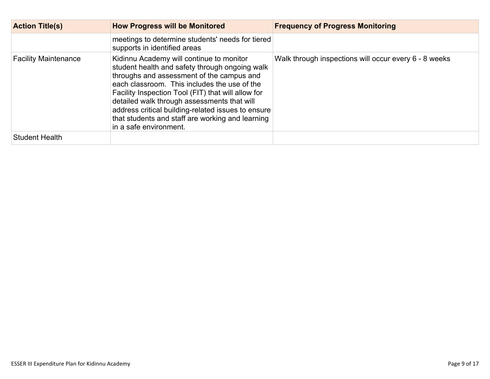| <b>Action Title(s)</b>      | <b>How Progress will be Monitored</b>                                                                                                                                                                                                                                                                                                                                                                                            | <b>Frequency of Progress Monitoring</b>               |
|-----------------------------|----------------------------------------------------------------------------------------------------------------------------------------------------------------------------------------------------------------------------------------------------------------------------------------------------------------------------------------------------------------------------------------------------------------------------------|-------------------------------------------------------|
|                             | meetings to determine students' needs for tiered<br>supports in identified areas                                                                                                                                                                                                                                                                                                                                                 |                                                       |
| <b>Facility Maintenance</b> | Kidinnu Academy will continue to monitor<br>student health and safety through ongoing walk<br>throughs and assessment of the campus and<br>each classroom. This includes the use of the<br>Facility Inspection Tool (FIT) that will allow for<br>detailed walk through assessments that will<br>address critical building-related issues to ensure<br>that students and staff are working and learning<br>in a safe environment. | Walk through inspections will occur every 6 - 8 weeks |
| <b>Student Health</b>       |                                                                                                                                                                                                                                                                                                                                                                                                                                  |                                                       |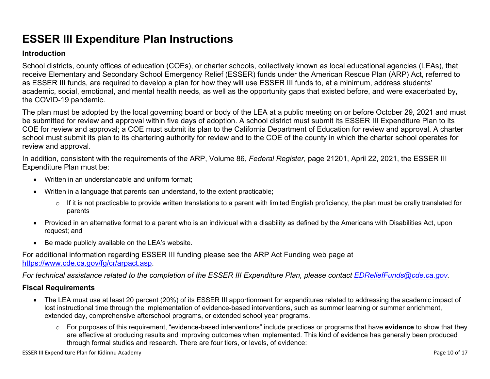# **ESSER III Expenditure Plan Instructions**

#### **Introduction**

School districts, county offices of education (COEs), or charter schools, collectively known as local educational agencies (LEAs), that receive Elementary and Secondary School Emergency Relief (ESSER) funds under the American Rescue Plan (ARP) Act, referred to as ESSER III funds, are required to develop a plan for how they will use ESSER III funds to, at a minimum, address students' academic, social, emotional, and mental health needs, as well as the opportunity gaps that existed before, and were exacerbated by, the COVID-19 pandemic.

The plan must be adopted by the local governing board or body of the LEA at a public meeting on or before October 29, 2021 and must be submitted for review and approval within five days of adoption. A school district must submit its ESSER III Expenditure Plan to its COE for review and approval; a COE must submit its plan to the California Department of Education for review and approval. A charter school must submit its plan to its chartering authority for review and to the COE of the county in which the charter school operates for review and approval.

In addition, consistent with the requirements of the ARP, Volume 86, *Federal Register*, page 21201, April 22, 2021, the ESSER III Expenditure Plan must be:

- Written in an understandable and uniform format;
- Written in a language that parents can understand, to the extent practicable;
	- $\circ$  If it is not practicable to provide written translations to a parent with limited English proficiency, the plan must be orally translated for parents
- Provided in an alternative format to a parent who is an individual with a disability as defined by the Americans with Disabilities Act, upon request; and
- Be made publicly available on the LEA's website.

For additional information regarding ESSER III funding please see the ARP Act Funding web page at <https://www.cde.ca.gov/fg/cr/arpact.asp>.

For technical assistance related to the completion of the ESSER III Expenditure Plan, please contact [EDReliefFunds@cde.ca.gov](mailto:EDReliefFunds@cde.ca.gov).

### **Fiscal Requirements**

- The LEA must use at least 20 percent (20%) of its ESSER III apportionment for expenditures related to addressing the academic impact of lost instructional time through the implementation of evidence-based interventions, such as summer learning or summer enrichment, extended day, comprehensive afterschool programs, or extended school year programs.
	- o For purposes of this requirement, "evidence-based interventions" include practices or programs that have **evidence** to show that they are effective at producing results and improving outcomes when implemented. This kind of evidence has generally been produced through formal studies and research. There are four tiers, or levels, of evidence: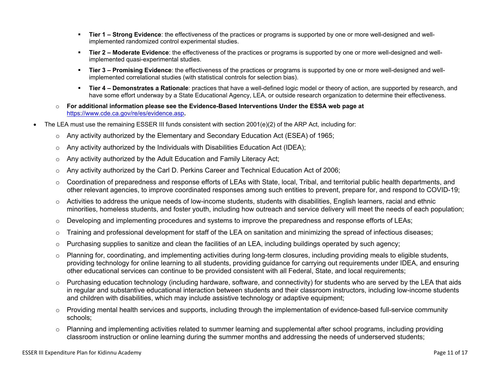- **Tier 1 – Strong Evidence**: the effectiveness of the practices or programs is supported by one or more well-designed and wellimplemented randomized control experimental studies.
- **Tier 2 – Moderate Evidence**: the effectiveness of the practices or programs is supported by one or more well-designed and wellimplemented quasi-experimental studies.
- **Tier 3 – Promising Evidence**: the effectiveness of the practices or programs is supported by one or more well-designed and wellimplemented correlational studies (with statistical controls for selection bias).
- **Tier 4 – Demonstrates a Rationale**: practices that have a well-defined logic model or theory of action, are supported by research, and have some effort underway by a State Educational Agency, LEA, or outside research organization to determine their effectiveness.
- o **For additional information please see the Evidence-Based Interventions Under the ESSA web page at** <https://www.cde.ca.gov/re/es/evidence.asp>**.**
- The LEA must use the remaining ESSER III funds consistent with section 2001(e)(2) of the ARP Act, including for:
	- $\circ$  Any activity authorized by the Elementary and Secondary Education Act (ESEA) of 1965;
	- $\circ$  Any activity authorized by the Individuals with Disabilities Education Act (IDEA);
	- o Any activity authorized by the Adult Education and Family Literacy Act;
	- $\circ$  Any activity authorized by the Carl D. Perkins Career and Technical Education Act of 2006;
	- $\circ$  Coordination of preparedness and response efforts of LEAs with State, local, Tribal, and territorial public health departments, and other relevant agencies, to improve coordinated responses among such entities to prevent, prepare for, and respond to COVID-19;
	- $\circ$  Activities to address the unique needs of low-income students, students with disabilities, English learners, racial and ethnic minorities, homeless students, and foster youth, including how outreach and service delivery will meet the needs of each population;
	- o Developing and implementing procedures and systems to improve the preparedness and response efforts of LEAs;
	- $\circ$  Training and professional development for staff of the LEA on sanitation and minimizing the spread of infectious diseases;
	- $\circ$  Purchasing supplies to sanitize and clean the facilities of an LEA, including buildings operated by such agency;
	- $\circ$  Planning for, coordinating, and implementing activities during long-term closures, including providing meals to eligible students, providing technology for online learning to all students, providing guidance for carrying out requirements under IDEA, and ensuring other educational services can continue to be provided consistent with all Federal, State, and local requirements;
	- $\circ$  Purchasing education technology (including hardware, software, and connectivity) for students who are served by the LEA that aids in regular and substantive educational interaction between students and their classroom instructors, including low-income students and children with disabilities, which may include assistive technology or adaptive equipment;
	- $\circ$  Providing mental health services and supports, including through the implementation of evidence-based full-service community schools;
	- o Planning and implementing activities related to summer learning and supplemental after school programs, including providing classroom instruction or online learning during the summer months and addressing the needs of underserved students;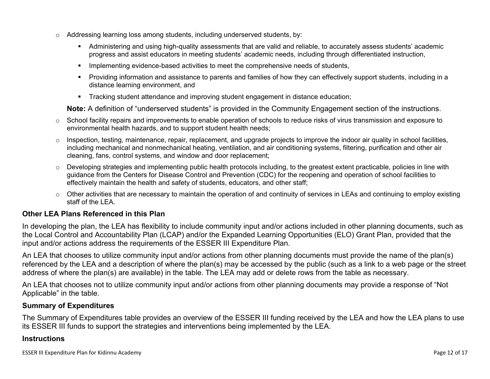- $\circ$  Addressing learning loss among students, including underserved students, by:
	- Administering and using high-quality assessments that are valid and reliable, to accurately assess students' academic progress and assist educators in meeting students' academic needs, including through differentiated instruction,
	- **IMPLEMENTER IMPLEMENT LIME STARK IMPLEMENT IMPLEMENT IMPLY** Implementing evidents,
	- Providing information and assistance to parents and families of how they can effectively support students, including in a distance learning environment, and
	- Tracking student attendance and improving student engagement in distance education;

**Note:** A definition of "underserved students" is provided in the Community Engagement section of the instructions.

- $\circ$  School facility repairs and improvements to enable operation of schools to reduce risks of virus transmission and exposure to environmental health hazards, and to support student health needs;
- $\circ$  Inspection, testing, maintenance, repair, replacement, and upgrade projects to improve the indoor air quality in school facilities, including mechanical and nonmechanical heating, ventilation, and air conditioning systems, filtering, purification and other air cleaning, fans, control systems, and window and door replacement;
- $\circ$  Developing strategies and implementing public health protocols including, to the greatest extent practicable, policies in line with guidance from the Centers for Disease Control and Prevention (CDC) for the reopening and operation of school facilities to effectively maintain the health and safety of students, educators, and other staff;
- $\circ$  Other activities that are necessary to maintain the operation of and continuity of services in LEAs and continuing to employ existing staff of the LEA.

### <span id="page-11-0"></span>**Other LEA Plans Referenced in this Plan**

In developing the plan, the LEA has flexibility to include community input and/or actions included in other planning documents, such as the Local Control and Accountability Plan (LCAP) and/or the Expanded Learning Opportunities (ELO) Grant Plan, provided that the input and/or actions address the requirements of the ESSER III Expenditure Plan.

An LEA that chooses to utilize community input and/or actions from other planning documents must provide the name of the plan(s) referenced by the LEA and a description of where the plan(s) may be accessed by the public (such as a link to a web page or the street address of where the plan(s) are available) in the table. The LEA may add or delete rows from the table as necessary.

An LEA that chooses not to utilize community input and/or actions from other planning documents may provide a response of "Not Applicable" in the table.

#### <span id="page-11-1"></span>**Summary of Expenditures**

The Summary of Expenditures table provides an overview of the ESSER III funding received by the LEA and how the LEA plans to use its ESSER III funds to support the strategies and interventions being implemented by the LEA.

#### **Instructions**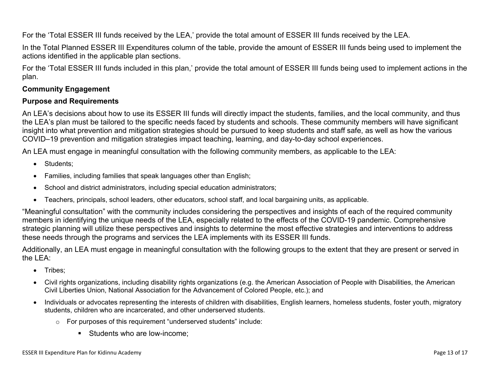For the 'Total ESSER III funds received by the LEA,' provide the total amount of ESSER III funds received by the LEA.

In the Total Planned ESSER III Expenditures column of the table, provide the amount of ESSER III funds being used to implement the actions identified in the applicable plan sections.

For the 'Total ESSER III funds included in this plan,' provide the total amount of ESSER III funds being used to implement actions in the plan.

### <span id="page-12-0"></span>**Community Engagement**

#### **Purpose and Requirements**

An LEA's decisions about how to use its ESSER III funds will directly impact the students, families, and the local community, and thus the LEA's plan must be tailored to the specific needs faced by students and schools. These community members will have significant insight into what prevention and mitigation strategies should be pursued to keep students and staff safe, as well as how the various COVID–19 prevention and mitigation strategies impact teaching, learning, and day-to-day school experiences.

An LEA must engage in meaningful consultation with the following community members, as applicable to the LEA:

- Students:
- Families, including families that speak languages other than English;
- School and district administrators, including special education administrators;
- Teachers, principals, school leaders, other educators, school staff, and local bargaining units, as applicable.

"Meaningful consultation" with the community includes considering the perspectives and insights of each of the required community members in identifying the unique needs of the LEA, especially related to the effects of the COVID-19 pandemic. Comprehensive strategic planning will utilize these perspectives and insights to determine the most effective strategies and interventions to address these needs through the programs and services the LEA implements with its ESSER III funds.

Additionally, an LEA must engage in meaningful consultation with the following groups to the extent that they are present or served in the LEA:

- Tribes;
- Civil rights organizations, including disability rights organizations (e.g. the American Association of People with Disabilities, the American Civil Liberties Union, National Association for the Advancement of Colored People, etc.); and
- Individuals or advocates representing the interests of children with disabilities, English learners, homeless students, foster youth, migratory students, children who are incarcerated, and other underserved students.
	- o For purposes of this requirement "underserved students" include:
		- Students who are low-income: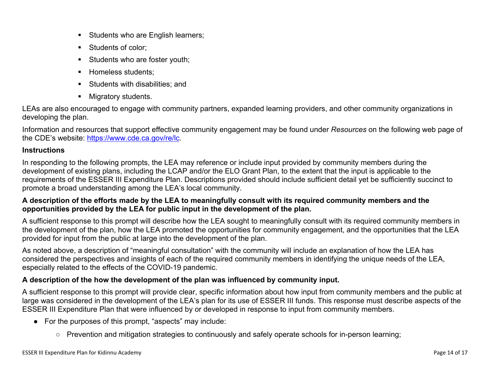- Students who are English learners;
- Students of color:
- Students who are foster youth;
- Homeless students;
- **Students with disabilities: and**
- **Migratory students.**

LEAs are also encouraged to engage with community partners, expanded learning providers, and other community organizations in developing the plan.

Information and resources that support effective community engagement may be found under *Resources* on the following web page of the CDE's website: <https://www.cde.ca.gov/re/lc>.

### **Instructions**

In responding to the following prompts, the LEA may reference or include input provided by community members during the development of existing plans, including the LCAP and/or the ELO Grant Plan, to the extent that the input is applicable to the requirements of the ESSER III Expenditure Plan. Descriptions provided should include sufficient detail yet be sufficiently succinct to promote a broad understanding among the LEA's local community.

### A description of the efforts made by the LEA to meaningfully consult with its required community members and the **opportunities provided by the LEA for public input in the development of the plan.**

A sufficient response to this prompt will describe how the LEA sought to meaningfully consult with its required community members in the development of the plan, how the LEA promoted the opportunities for community engagement, and the opportunities that the LEA provided for input from the public at large into the development of the plan.

As noted above, a description of "meaningful consultation" with the community will include an explanation of how the LEA has considered the perspectives and insights of each of the required community members in identifying the unique needs of the LEA, especially related to the effects of the COVID-19 pandemic.

### **A description of the how the development of the plan was influenced by community input.**

A sufficient response to this prompt will provide clear, specific information about how input from community members and the public at large was considered in the development of the LEA's plan for its use of ESSER III funds. This response must describe aspects of the ESSER III Expenditure Plan that were influenced by or developed in response to input from community members.

- For the purposes of this prompt, "aspects" may include:
	- Prevention and mitigation strategies to continuously and safely operate schools for in-person learning;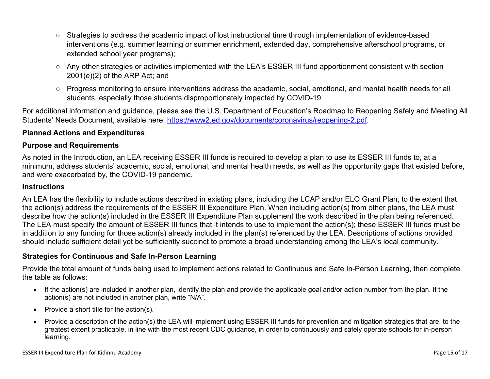- Strategies to address the academic impact of lost instructional time through implementation of evidence-based interventions (e.g. summer learning or summer enrichment, extended day, comprehensive afterschool programs, or extended school year programs);
- Any other strategies or activities implemented with the LEA's ESSER III fund apportionment consistent with section 2001(e)(2) of the ARP Act; and
- Progress monitoring to ensure interventions address the academic, social, emotional, and mental health needs for all students, especially those students disproportionately impacted by COVID-19

For additional information and guidance, please see the U.S. Department of Education's Roadmap to Reopening Safely and Meeting All Students' Needs Document, available here: [https://www2.ed.gov/documents/coronavirus/reopening-2.pdf.](https://www2.ed.gov/documents/coronavirus/reopening-2.pdf)

### <span id="page-14-0"></span>**Planned Actions and Expenditures**

#### **Purpose and Requirements**

As noted in the Introduction, an LEA receiving ESSER III funds is required to develop a plan to use its ESSER III funds to, at a minimum, address students' academic, social, emotional, and mental health needs, as well as the opportunity gaps that existed before, and were exacerbated by, the COVID-19 pandemic.

#### **Instructions**

An LEA has the flexibility to include actions described in existing plans, including the LCAP and/or ELO Grant Plan, to the extent that the action(s) address the requirements of the ESSER III Expenditure Plan. When including action(s) from other plans, the LEA must describe how the action(s) included in the ESSER III Expenditure Plan supplement the work described in the plan being referenced. The LEA must specify the amount of ESSER III funds that it intends to use to implement the action(s); these ESSER III funds must be in addition to any funding for those action(s) already included in the plan(s) referenced by the LEA. Descriptions of actions provided should include sufficient detail yet be sufficiently succinct to promote a broad understanding among the LEA's local community.

#### <span id="page-14-1"></span>**Strategies for Continuous and Safe In-Person Learning**

Provide the total amount of funds being used to implement actions related to Continuous and Safe In-Person Learning, then complete the table as follows:

- If the action(s) are included in another plan, identify the plan and provide the applicable goal and/or action number from the plan. If the action(s) are not included in another plan, write "N/A".
- Provide a short title for the  $action(s)$ .
- Provide a description of the action(s) the LEA will implement using ESSER III funds for prevention and mitigation strategies that are, to the greatest extent practicable, in line with the most recent CDC guidance, in order to continuously and safely operate schools for in-person learning.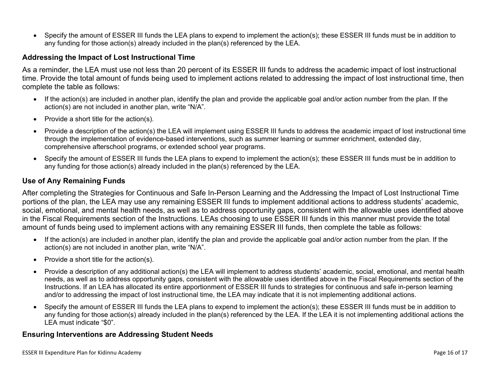Specify the amount of ESSER III funds the LEA plans to expend to implement the action(s); these ESSER III funds must be in addition to any funding for those action(s) already included in the plan(s) referenced by the LEA.

#### <span id="page-15-0"></span>**Addressing the Impact of Lost Instructional Time**

As a reminder, the LEA must use not less than 20 percent of its ESSER III funds to address the academic impact of lost instructional time. Provide the total amount of funds being used to implement actions related to addressing the impact of lost instructional time, then complete the table as follows:

- If the action(s) are included in another plan, identify the plan and provide the applicable goal and/or action number from the plan. If the action(s) are not included in another plan, write "N/A".
- Provide a short title for the  $action(s)$ .
- Provide a description of the action(s) the LEA will implement using ESSER III funds to address the academic impact of lost instructional time through the implementation of evidence-based interventions, such as summer learning or summer enrichment, extended day, comprehensive afterschool programs, or extended school year programs.
- Specify the amount of ESSER III funds the LEA plans to expend to implement the action(s); these ESSER III funds must be in addition to any funding for those action(s) already included in the plan(s) referenced by the LEA.

#### <span id="page-15-1"></span>**Use of Any Remaining Funds**

After completing the Strategies for Continuous and Safe In-Person Learning and the Addressing the Impact of Lost Instructional Time portions of the plan, the LEA may use any remaining ESSER III funds to implement additional actions to address students' academic, social, emotional, and mental health needs, as well as to address opportunity gaps, consistent with the allowable uses identified above in the Fiscal Requirements section of the Instructions. LEAs choosing to use ESSER III funds in this manner must provide the total amount of funds being used to implement actions with any remaining ESSER III funds, then complete the table as follows:

- If the action(s) are included in another plan, identify the plan and provide the applicable goal and/or action number from the plan. If the action(s) are not included in another plan, write "N/A".
- Provide a short title for the  $action(s)$ .
- Provide a description of any additional action(s) the LEA will implement to address students' academic, social, emotional, and mental health needs, as well as to address opportunity gaps, consistent with the allowable uses identified above in the Fiscal Requirements section of the Instructions. If an LEA has allocated its entire apportionment of ESSER III funds to strategies for continuous and safe in-person learning and/or to addressing the impact of lost instructional time, the LEA may indicate that it is not implementing additional actions.
- Specify the amount of ESSER III funds the LEA plans to expend to implement the action(s); these ESSER III funds must be in addition to any funding for those action(s) already included in the plan(s) referenced by the LEA. If the LEA it is not implementing additional actions the LEA must indicate "\$0".

#### <span id="page-15-2"></span>**Ensuring Interventions are Addressing Student Needs**